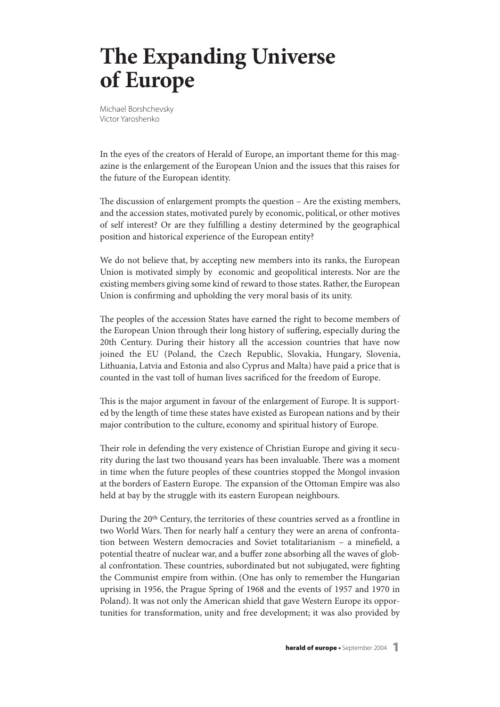## **The Expanding Universe of Europe**

Michael Borshchevsky Victor Yaroshenko

In the eyes of the creators of Herald of Europe, an important theme for this magazine is the enlargement of the European Union and the issues that this raises for the future of the European identity.

The discussion of enlargement prompts the question  $-$  Are the existing members, and the accession states, motivated purely by economic, political, or other motives of self interest? Or are they fulfilling a destiny determined by the geographical position and historical experience of the European entity?

We do not believe that, by accepting new members into its ranks, the European Union is motivated simply by economic and geopolitical interests. Nor are the existing members giving some kind of reward to those states. Rather, the European Union is confirming and upholding the very moral basis of its unity.

The peoples of the accession States have earned the right to become members of the European Union through their long history of suffering, especially during the 20th Century. During their history all the accession countries that have now joined the EU (Poland, the Czech Republic, Slovakia, Hungary, Slovenia, Lithuania, Latvia and Estonia and also Cyprus and Malta) have paid a price that is counted in the vast toll of human lives sacrificed for the freedom of Europe.

This is the major argument in favour of the enlargement of Europe. It is supported by the length of time these states have existed as European nations and by their major contribution to the culture, economy and spiritual history of Europe.

Their role in defending the very existence of Christian Europe and giving it security during the last two thousand years has been invaluable. There was a moment in time when the future peoples of these countries stopped the Mongol invasion at the borders of Eastern Europe. The expansion of the Ottoman Empire was also held at bay by the struggle with its eastern European neighbours.

During the 20<sup>th</sup> Century, the territories of these countries served as a frontline in two World Wars. Then for nearly half a century they were an arena of confrontation between Western democracies and Soviet totalitarianism – a minefield, a potential theatre of nuclear war, and a buffer zone absorbing all the waves of global confrontation. These countries, subordinated but not subjugated, were fighting the Communist empire from within. (One has only to remember the Hungarian uprising in 1956, the Prague Spring of 1968 and the events of 1957 and 1970 in Poland). It was not only the American shield that gave Western Europe its opportunities for transformation, unity and free development; it was also provided by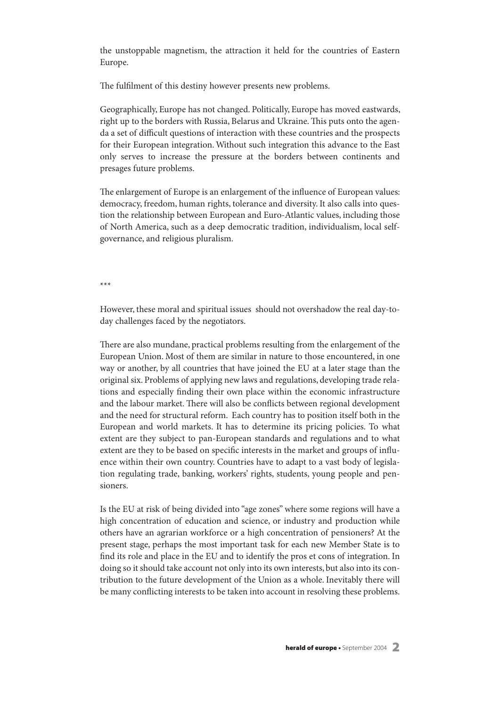the unstoppable magnetism, the attraction it held for the countries of Eastern Europe.

The fulfilment of this destiny however presents new problems.

Geographically, Europe has not changed. Politically, Europe has moved eastwards, right up to the borders with Russia, Belarus and Ukraine. This puts onto the agenda a set of difficult questions of interaction with these countries and the prospects for their European integration. Without such integration this advance to the East only serves to increase the pressure at the borders between continents and presages future problems.

The enlargement of Europe is an enlargement of the influence of European values: democracy, freedom, human rights, tolerance and diversity. It also calls into question the relationship between European and Euro-Atlantic values, including those of North America, such as a deep democratic tradition, individualism, local selfgovernance, and religious pluralism.

\*\*\*

However, these moral and spiritual issues should not overshadow the real day-today challenges faced by the negotiators.

There are also mundane, practical problems resulting from the enlargement of the European Union. Most of them are similar in nature to those encountered, in one way or another, by all countries that have joined the EU at a later stage than the original six. Problems of applying new laws and regulations, developing trade relations and especially finding their own place within the economic infrastructure and the labour market. There will also be conflicts between regional development and the need for structural reform. Each country has to position itself both in the European and world markets. It has to determine its pricing policies. To what extent are they subject to pan-European standards and regulations and to what extent are they to be based on specific interests in the market and groups of influence within their own country. Countries have to adapt to a vast body of legislation regulating trade, banking, workers' rights, students, young people and pensioners.

Is the EU at risk of being divided into "age zones" where some regions will have a high concentration of education and science, or industry and production while others have an agrarian workforce or a high concentration of pensioners? At the present stage, perhaps the most important task for each new Member State is to find its role and place in the EU and to identify the pros et cons of integration. In doing so it should take account not only into its own interests, but also into its contribution to the future development of the Union as a whole. Inevitably there will be many conflicting interests to be taken into account in resolving these problems.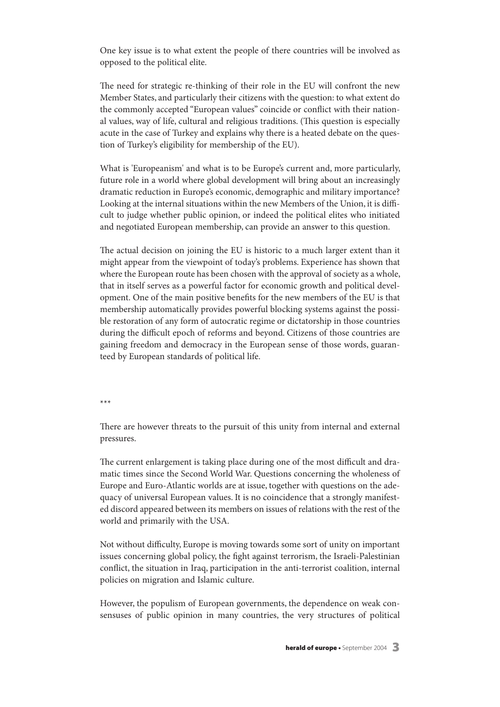One key issue is to what extent the people of there countries will be involved as opposed to the political elite.

The need for strategic re-thinking of their role in the EU will confront the new Member States, and particularly their citizens with the question: to what extent do the commonly accepted "European values" coincide or conflict with their national values, way of life, cultural and religious traditions. (This question is especially acute in the case of Turkey and explains why there is a heated debate on the question of Turkey's eligibility for membership of the EU).

What is 'Europeanism' and what is to be Europe's current and, more particularly, future role in a world where global development will bring about an increasingly dramatic reduction in Europe's economic, demographic and military importance? Looking at the internal situations within the new Members of the Union, it is difficult to judge whether public opinion, or indeed the political elites who initiated and negotiated European membership, can provide an answer to this question.

The actual decision on joining the EU is historic to a much larger extent than it might appear from the viewpoint of today's problems. Experience has shown that where the European route has been chosen with the approval of society as a whole, that in itself serves as a powerful factor for economic growth and political development. One of the main positive benefits for the new members of the EU is that membership automatically provides powerful blocking systems against the possible restoration of any form of autocratic regime or dictatorship in those countries during the difficult epoch of reforms and beyond. Citizens of those countries are gaining freedom and democracy in the European sense of those words, guaranteed by European standards of political life.

\*\*\*

There are however threats to the pursuit of this unity from internal and external pressures.

The current enlargement is taking place during one of the most difficult and dramatic times since the Second World War. Questions concerning the wholeness of Europe and Euro-Atlantic worlds are at issue, together with questions on the adequacy of universal European values. It is no coincidence that a strongly manifested discord appeared between its members on issues of relations with the rest of the world and primarily with the USA.

Not without difficulty, Europe is moving towards some sort of unity on important issues concerning global policy, the fight against terrorism, the Israeli-Palestinian conflict, the situation in Iraq, participation in the anti-terrorist coalition, internal policies on migration and Islamic culture.

However, the populism of European governments, the dependence on weak consensuses of public opinion in many countries, the very structures of political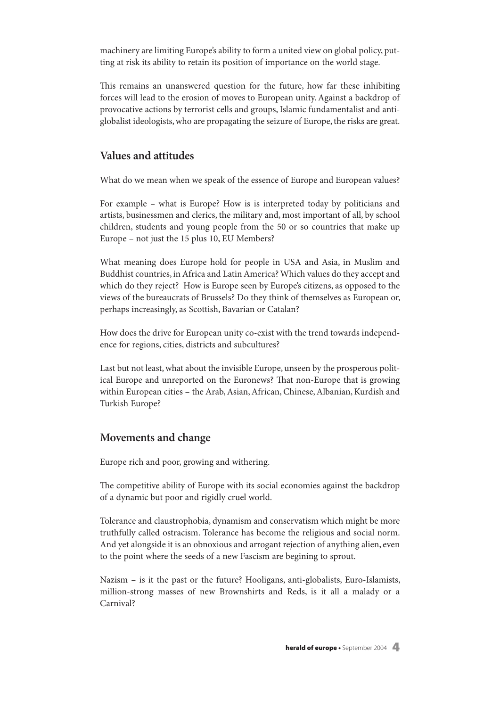machinery are limiting Europe's ability to form a united view on global policy, putting at risk its ability to retain its position of importance on the world stage.

This remains an unanswered question for the future, how far these inhibiting forces will lead to the erosion of moves to European unity.Against a backdrop of provocative actions by terrorist cells and groups, Islamic fundamentalist and antiglobalist ideologists,who are propagating the seizure of Europe,the risks are great.

## **Values and attitudes**

What do we mean when we speak of the essence of Europe and European values?

For example – what is Europe? How is is interpreted today by politicians and artists, businessmen and clerics, the military and, most important of all, by school children, students and young people from the 50 or so countries that make up Europe – not just the 15 plus 10, EU Members?

What meaning does Europe hold for people in USA and Asia, in Muslim and Buddhist countries, in Africa and Latin America? Which values do they accept and which do they reject? How is Europe seen by Europe's citizens, as opposed to the views of the bureaucrats of Brussels? Do they think of themselves as European or, perhaps increasingly, as Scottish, Bavarian or Catalan?

How does the drive for European unity co-exist with the trend towards independence for regions, cities, districts and subcultures?

Last but not least,what about the invisible Europe, unseen by the prosperous political Europe and unreported on the Euronews? That non-Europe that is growing within European cities - the Arab, Asian, African, Chinese, Albanian, Kurdish and Turkish Europe?

## **Movements and change**

Europe rich and poor, growing and withering.

The competitive ability of Europe with its social economies against the backdrop of a dynamic but poor and rigidly cruel world.

Tolerance and claustrophobia, dynamism and conservatism which might be more truthfully called ostracism. Tolerance has become the religious and social norm. And yet alongside it is an obnoxious and arrogant rejection of anything alien, even to the point where the seeds of a new Fascism are begining to sprout.

Nazism – is it the past or the future? Hooligans, anti-globalists, Euro-Islamists, million-strong masses of new Brownshirts and Reds, is it all a malady or a Carnival?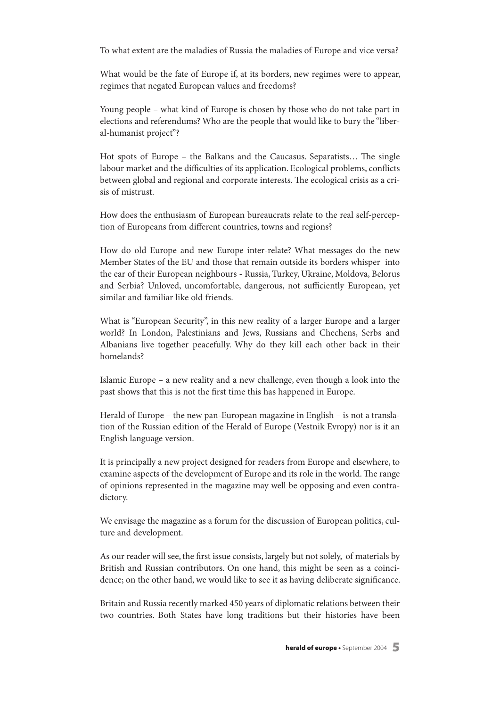To what extent are the maladies of Russia the maladies of Europe and vice versa?

What would be the fate of Europe if, at its borders, new regimes were to appear, regimes that negated European values and freedoms?

Young people – what kind of Europe is chosen by those who do not take part in elections and referendums? Who are the people that would like to bury the "liberal-humanist project"?

Hot spots of Europe – the Balkans and the Caucasus. Separatists... The single labour market and the difficulties of its application. Ecological problems, conflicts between global and regional and corporate interests. The ecological crisis as a crisis of mistrust.

How does the enthusiasm of European bureaucrats relate to the real self-perception of Europeans from different countries, towns and regions?

How do old Europe and new Europe inter-relate? What messages do the new Member States of the EU and those that remain outside its borders whisper into the ear of their European neighbours - Russia, Turkey, Ukraine, Moldova, Belorus and Serbia? Unloved, uncomfortable, dangerous, not sufficiently European, yet similar and familiar like old friends.

What is "European Security", in this new reality of a larger Europe and a larger world? In London, Palestinians and Jews, Russians and Chechens, Serbs and Albanians live together peacefully. Why do they kill each other back in their homelands?

Islamic Europe – a new reality and a new challenge, even though a look into the past shows that this is not the first time this has happened in Europe.

Herald of Europe – the new pan-European magazine in English – is not a translation of the Russian edition of the Herald of Europe (Vestnik Evropy) nor is it an English language version.

It is principally a new project designed for readers from Europe and elsewhere, to examine aspects of the development of Europe and its role in the world. The range of opinions represented in the magazine may well be opposing and even contradictory.

We envisage the magazine as a forum for the discussion of European politics, culture and development.

As our reader will see, the first issue consists, largely but not solely, of materials by British and Russian contributors. On one hand, this might be seen as a coincidence; on the other hand, we would like to see it as having deliberate significance.

Britain and Russia recently marked 450 years of diplomatic relations between their two countries. Both States have long traditions but their histories have been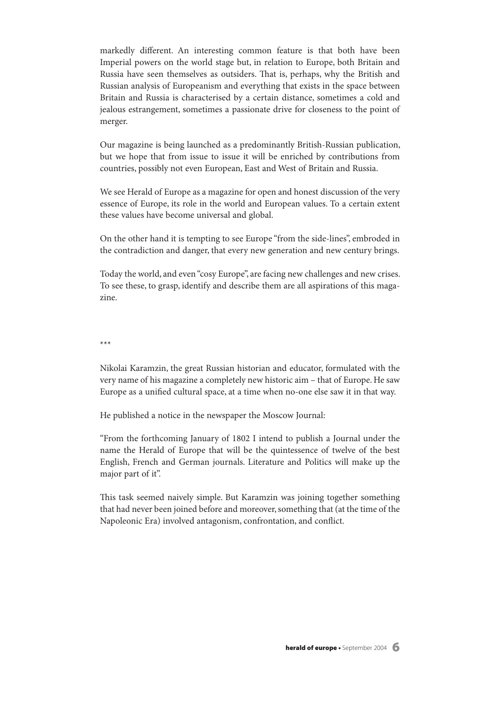markedly different. An interesting common feature is that both have been Imperial powers on the world stage but, in relation to Europe, both Britain and Russia have seen themselves as outsiders. That is, perhaps, why the British and Russian analysis of Europeanism and everything that exists in the space between Britain and Russia is characterised by a certain distance, sometimes a cold and jealous estrangement, sometimes a passionate drive for closeness to the point of merger.

Our magazine is being launched as a predominantly British-Russian publication, but we hope that from issue to issue it will be enriched by contributions from countries, possibly not even European, East and West of Britain and Russia.

We see Herald of Europe as a magazine for open and honest discussion of the very essence of Europe, its role in the world and European values. To a certain extent these values have become universal and global.

On the other hand it is tempting to see Europe "from the side-lines", embroded in the contradiction and danger, that every new generation and new century brings.

Today the world, and even"cosy Europe", are facing new challenges and new crises. To see these, to grasp, identify and describe them are all aspirations of this magazine.

\*\*\*

Nikolai Karamzin, the great Russian historian and educator, formulated with the very name of his magazine a completely new historic aim – that of Europe. He saw Europe as a unified cultural space, at a time when no-one else saw it in that way.

He published a notice in the newspaper the Moscow Journal:

"From the forthcoming January of 1802 I intend to publish a Journal under the name the Herald of Europe that will be the quintessence of twelve of the best English, French and German journals. Literature and Politics will make up the major part of it".

This task seemed naively simple. But Karamzin was joining together something that had never been joined before and moreover,something that (at the time of the Napoleonic Era) involved antagonism, confrontation, and conflict.